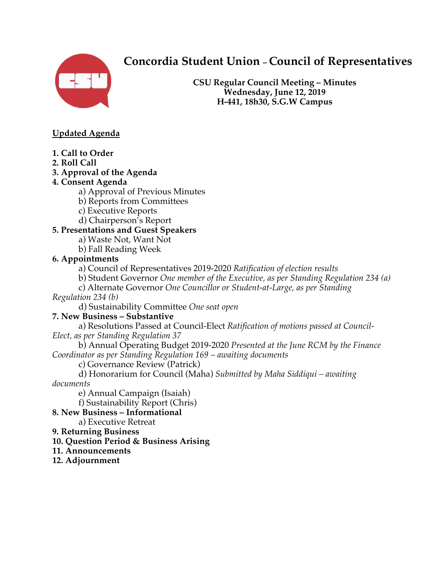

# **Concordia Student Union – Council of Representatives**

**CSU Regular Council Meeting – Minutes Wednesday, June 12, 2019 H-441, 18h30, S.G.W Campus**

## **Updated Agenda**

- **1. Call to Order**
- **2. Roll Call**
- **3. Approval of the Agenda**

## **4. Consent Agenda**

- a) Approval of Previous Minutes
- b) Reports from Committees
- c) Executive Reports
- d) Chairperson's Report

## **5. Presentations and Guest Speakers**

- a) Waste Not, Want Not
- b) Fall Reading Week

## **6. Appointments**

- a) Council of Representatives 2019-2020 *Ratification of election results*
- b) Student Governor *One member of the Executive, as per Standing Regulation 234 (a)*
- c) Alternate Governor *One Councillor or Student-at-Large, as per Standing Regulation 234 (b)* 
	- d) Sustainability Committee *One seat open*

## **7. New Business – Substantive**

a) Resolutions Passed at Council-Elect *Ratification of motions passed at Council-Elect, as per Standing Regulation 37* 

b) Annual Operating Budget 2019-2020 *Presented at the June RCM by the Finance Coordinator as per Standing Regulation 169 – awaiting documents* 

c) Governance Review (Patrick)

d) Honorarium for Council (Maha) *Submitted by Maha Siddiqui – awaiting documents* 

e) Annual Campaign (Isaiah)

f) Sustainability Report (Chris)

**8. New Business – Informational** 

a) Executive Retreat

#### **9. Returning Business**

**10. Question Period & Business Arising** 

#### **11. Announcements**

#### **12. Adjournment**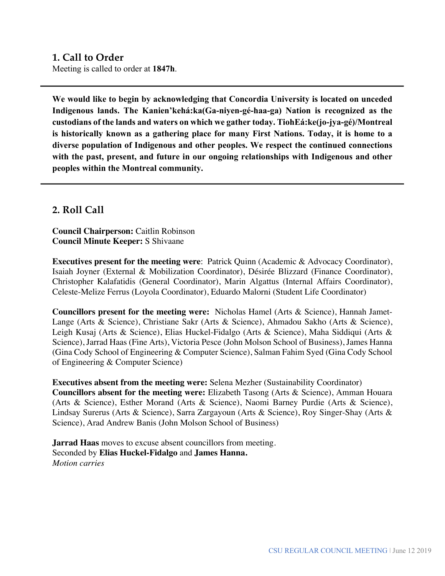## **1. Call to Order**

Meeting is called to order at **1847h**.

**We would like to begin by acknowledging that Concordia University is located on unceded Indigenous lands. The Kanien'kehá:ka(Ga-niyen-gé-haa-ga) Nation is recognized as the custodians of the lands and waters on which we gather today. TiohEá:ke(jo-jya-gé)/Montreal is historically known as a gathering place for many First Nations. Today, it is home to a diverse population of Indigenous and other peoples. We respect the continued connections with the past, present, and future in our ongoing relationships with Indigenous and other peoples within the Montreal community.** 

## **2. Roll Call**

**Council Chairperson:** Caitlin Robinson **Council Minute Keeper:** S Shivaane

**Executives present for the meeting were**: Patrick Quinn (Academic & Advocacy Coordinator), Isaiah Joyner (External & Mobilization Coordinator), Désirée Blizzard (Finance Coordinator), Christopher Kalafatidis (General Coordinator), Marin Algattus (Internal Affairs Coordinator), Celeste-Melize Ferrus (Loyola Coordinator), Eduardo Malorni (Student Life Coordinator)

**Councillors present for the meeting were:** Nicholas Hamel (Arts & Science), Hannah Jamet-Lange (Arts & Science), Christiane Sakr (Arts & Science), Ahmadou Sakho (Arts & Science), Leigh Kusaj (Arts & Science), Elias Huckel-Fidalgo (Arts & Science), Maha Siddiqui (Arts & Science), Jarrad Haas (Fine Arts), Victoria Pesce (John Molson School of Business), James Hanna (Gina Cody School of Engineering & Computer Science), Salman Fahim Syed (Gina Cody School of Engineering & Computer Science)

**Executives absent from the meeting were:** Selena Mezher (Sustainability Coordinator) **Councillors absent for the meeting were:** Elizabeth Tasong (Arts & Science), Amman Houara (Arts & Science), Esther Morand (Arts & Science), Naomi Barney Purdie (Arts & Science), Lindsay Surerus (Arts & Science), Sarra Zargayoun (Arts & Science), Roy Singer-Shay (Arts & Science), Arad Andrew Banis (John Molson School of Business)

**Jarrad Haas** moves to excuse absent councillors from meeting. Seconded by **Elias Huckel-Fidalgo** and **James Hanna.** *Motion carries*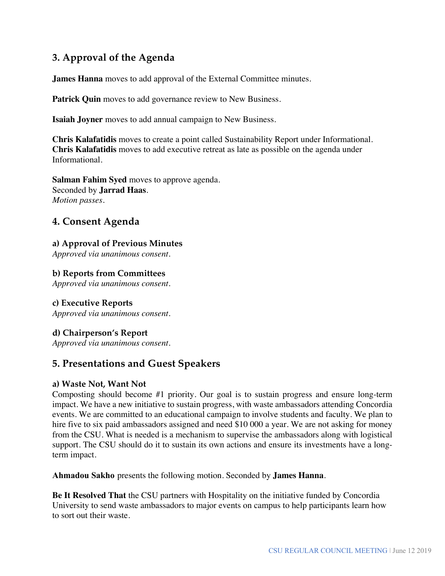## **3. Approval of the Agenda**

**James Hanna** moves to add approval of the External Committee minutes.

**Patrick Quin** moves to add governance review to New Business.

**Isaiah Joyner** moves to add annual campaign to New Business.

**Chris Kalafatidis** moves to create a point called Sustainability Report under Informational. **Chris Kalafatidis** moves to add executive retreat as late as possible on the agenda under Informational.

**Salman Fahim Syed** moves to approve agenda. Seconded by **Jarrad Haas**. *Motion passes.* 

## **4. Consent Agenda**

## **a) Approval of Previous Minutes**

*Approved via unanimous consent.* 

### **b) Reports from Committees**

*Approved via unanimous consent.* 

#### **c) Executive Reports**

*Approved via unanimous consent.* 

#### **d) Chairperson's Report**

*Approved via unanimous consent.* 

## **5. Presentations and Guest Speakers**

#### **a) Waste Not, Want Not**

Composting should become #1 priority. Our goal is to sustain progress and ensure long-term impact. We have a new initiative to sustain progress, with waste ambassadors attending Concordia events. We are committed to an educational campaign to involve students and faculty. We plan to hire five to six paid ambassadors assigned and need \$10 000 a year. We are not asking for money from the CSU. What is needed is a mechanism to supervise the ambassadors along with logistical support. The CSU should do it to sustain its own actions and ensure its investments have a longterm impact.

**Ahmadou Sakho** presents the following motion. Seconded by **James Hanna**.

**Be It Resolved That** the CSU partners with Hospitality on the initiative funded by Concordia University to send waste ambassadors to major events on campus to help participants learn how to sort out their waste.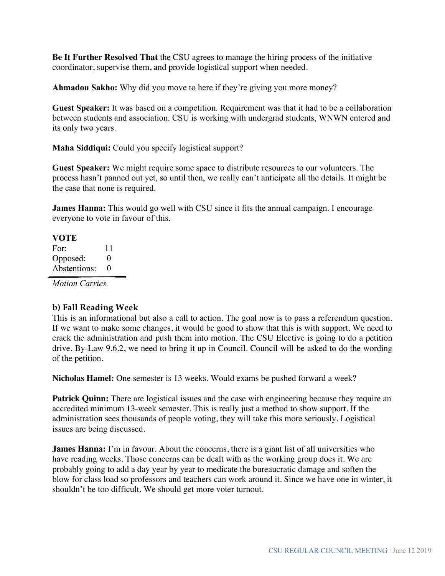**Be It Further Resolved That** the CSU agrees to manage the hiring process of the initiative coordinator, supervise them, and provide logistical support when needed.

**Ahmadou Sakho:** Why did you move to here if they're giving you more money?

**Guest Speaker:** It was based on a competition. Requirement was that it had to be a collaboration between students and association. CSU is working with undergrad students, WNWN entered and its only two years.

**Maha Siddiqui:** Could you specify logistical support?

**Guest Speaker:** We might require some space to distribute resources to our volunteers. The process hasn't panned out yet, so until then, we really can't anticipate all the details. It might be the case that none is required.

**James Hanna:** This would go well with CSU since it fits the annual campaign. I encourage everyone to vote in favour of this.

**VOTE** For: 11 Opposed: 0 Abstentions: 0

*Motion Carries.* 

#### **b) Fall Reading Week**

This is an informational but also a call to action. The goal now is to pass a referendum question. If we want to make some changes, it would be good to show that this is with support. We need to crack the administration and push them into motion. The CSU Elective is going to do a petition drive. By-Law 9.6.2, we need to bring it up in Council. Council will be asked to do the wording of the petition.

**Nicholas Hamel:** One semester is 13 weeks. Would exams be pushed forward a week?

**Patrick Quinn:** There are logistical issues and the case with engineering because they require an accredited minimum 13-week semester. This is really just a method to show support. If the administration sees thousands of people voting, they will take this more seriously. Logistical issues are being discussed.

**James Hanna:** I'm in favour. About the concerns, there is a giant list of all universities who have reading weeks. Those concerns can be dealt with as the working group does it. We are probably going to add a day year by year to medicate the bureaucratic damage and soften the blow for class load so professors and teachers can work around it. Since we have one in winter, it shouldn't be too difficult. We should get more voter turnout.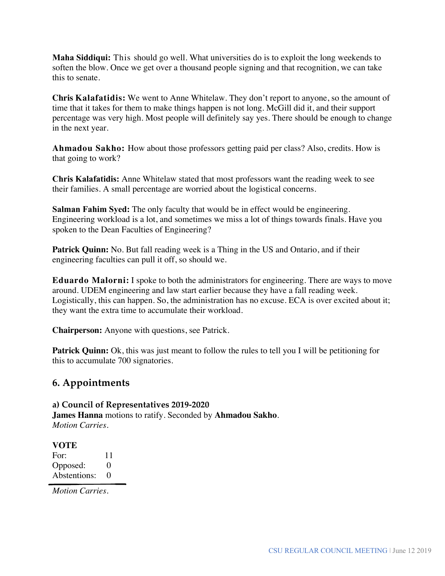**Maha Siddiqui:** This should go well. What universities do is to exploit the long weekends to soften the blow. Once we get over a thousand people signing and that recognition, we can take this to senate.

**Chris Kalafatidis:** We went to Anne Whitelaw. They don't report to anyone, so the amount of time that it takes for them to make things happen is not long. McGill did it, and their support percentage was very high. Most people will definitely say yes. There should be enough to change in the next year.

**Ahmadou Sakho:** How about those professors getting paid per class? Also, credits. How is that going to work?

**Chris Kalafatidis:** Anne Whitelaw stated that most professors want the reading week to see their families. A small percentage are worried about the logistical concerns.

**Salman Fahim Syed:** The only faculty that would be in effect would be engineering. Engineering workload is a lot, and sometimes we miss a lot of things towards finals. Have you spoken to the Dean Faculties of Engineering?

**Patrick Quinn:** No. But fall reading week is a Thing in the US and Ontario, and if their engineering faculties can pull it off, so should we.

**Eduardo Malorni:** I spoke to both the administrators for engineering. There are ways to move around. UDEM engineering and law start earlier because they have a fall reading week. Logistically, this can happen. So, the administration has no excuse. ECA is over excited about it; they want the extra time to accumulate their workload.

**Chairperson:** Anyone with questions, see Patrick.

**Patrick Quinn:** Ok, this was just meant to follow the rules to tell you I will be petitioning for this to accumulate 700 signatories.

## **6. Appointments**

#### **a) Council of Representatives 2019-2020 James Hanna** motions to ratify*.* Seconded by **Ahmadou Sakho***. Motion Carries.*

#### **VOTE**

For: 11 Opposed: 0 Abstentions: 0

*Motion Carries.*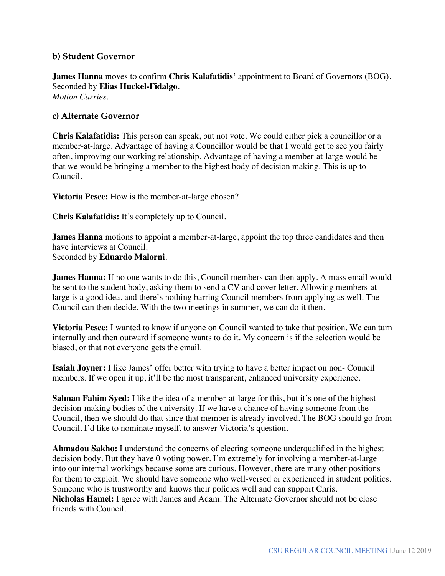#### **b) Student Governor**

**James Hanna** moves to confirm **Chris Kalafatidis'** appointment to Board of Governors (BOG)*.* Seconded by **Elias Huckel-Fidalgo**. *Motion Carries.* 

#### **c) Alternate Governor**

**Chris Kalafatidis:** This person can speak, but not vote. We could either pick a councillor or a member-at-large. Advantage of having a Councillor would be that I would get to see you fairly often, improving our working relationship. Advantage of having a member-at-large would be that we would be bringing a member to the highest body of decision making. This is up to Council.

**Victoria Pesce:** How is the member-at-large chosen?

**Chris Kalafatidis:** It's completely up to Council.

**James Hanna** motions to appoint a member-at-large, appoint the top three candidates and then have interviews at Council. Seconded by **Eduardo Malorni**.

**James Hanna:** If no one wants to do this, Council members can then apply. A mass email would be sent to the student body, asking them to send a CV and cover letter. Allowing members-atlarge is a good idea, and there's nothing barring Council members from applying as well. The Council can then decide. With the two meetings in summer, we can do it then.

**Victoria Pesce:** I wanted to know if anyone on Council wanted to take that position. We can turn internally and then outward if someone wants to do it. My concern is if the selection would be biased, or that not everyone gets the email.

**Isaiah Joyner:** I like James' offer better with trying to have a better impact on non- Council members. If we open it up, it'll be the most transparent, enhanced university experience.

**Salman Fahim Syed:** I like the idea of a member-at-large for this, but it's one of the highest decision-making bodies of the university. If we have a chance of having someone from the Council, then we should do that since that member is already involved. The BOG should go from Council. I'd like to nominate myself, to answer Victoria's question.

**Ahmadou Sakho:** I understand the concerns of electing someone underqualified in the highest decision body. But they have 0 voting power. I'm extremely for involving a member-at-large into our internal workings because some are curious. However, there are many other positions for them to exploit. We should have someone who well-versed or experienced in student politics. Someone who is trustworthy and knows their policies well and can support Chris. **Nicholas Hamel:** I agree with James and Adam. The Alternate Governor should not be close friends with Council.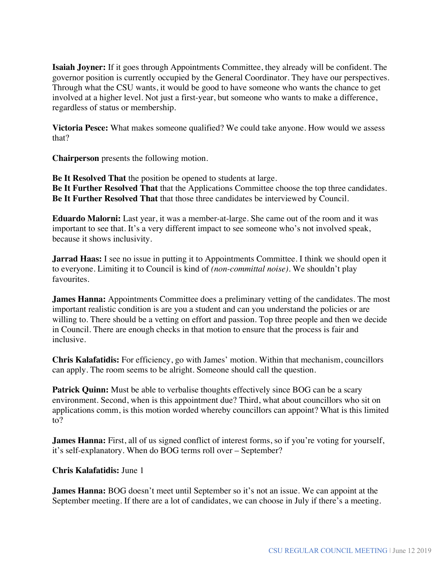**Isaiah Joyner:** If it goes through Appointments Committee, they already will be confident. The governor position is currently occupied by the General Coordinator. They have our perspectives. Through what the CSU wants, it would be good to have someone who wants the chance to get involved at a higher level. Not just a first-year, but someone who wants to make a difference, regardless of status or membership.

**Victoria Pesce:** What makes someone qualified? We could take anyone. How would we assess that?

**Chairperson** presents the following motion.

**Be It Resolved That** the position be opened to students at large. **Be It Further Resolved That** that the Applications Committee choose the top three candidates. **Be It Further Resolved That** that those three candidates be interviewed by Council.

**Eduardo Malorni:** Last year, it was a member-at-large. She came out of the room and it was important to see that. It's a very different impact to see someone who's not involved speak, because it shows inclusivity.

**Jarrad Haas:** I see no issue in putting it to Appointments Committee. I think we should open it to everyone. Limiting it to Council is kind of *(non-committal noise).* We shouldn't play favourites.

**James Hanna:** Appointments Committee does a preliminary vetting of the candidates. The most important realistic condition is are you a student and can you understand the policies or are willing to. There should be a vetting on effort and passion. Top three people and then we decide in Council. There are enough checks in that motion to ensure that the process is fair and inclusive.

**Chris Kalafatidis:** For efficiency, go with James' motion. Within that mechanism, councillors can apply. The room seems to be alright. Someone should call the question.

**Patrick Quinn:** Must be able to verbalise thoughts effectively since BOG can be a scary environment. Second, when is this appointment due? Third, what about councillors who sit on applications comm, is this motion worded whereby councillors can appoint? What is this limited to?

**James Hanna:** First, all of us signed conflict of interest forms, so if you're voting for yourself, it's self-explanatory. When do BOG terms roll over – September?

#### **Chris Kalafatidis:** June 1

**James Hanna:** BOG doesn't meet until September so it's not an issue. We can appoint at the September meeting. If there are a lot of candidates, we can choose in July if there's a meeting.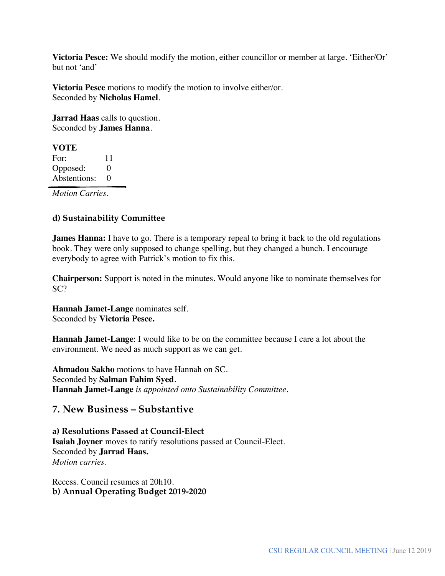**Victoria Pesce:** We should modify the motion, either councillor or member at large. 'Either/Or' but not 'and'

**Victoria Pesce** motions to modify the motion to involve either/or. Seconded by **Nicholas Hamel**.

**Jarrad Haas** calls to question. Seconded by **James Hanna**.

#### **VOTE**

For: 11 Opposed: 0 Abstentions: 0

*Motion Carries.* 

## **d) Sustainability Committee**

**James Hanna:** I have to go. There is a temporary repeal to bring it back to the old regulations book. They were only supposed to change spelling, but they changed a bunch. I encourage everybody to agree with Patrick's motion to fix this.

**Chairperson:** Support is noted in the minutes. Would anyone like to nominate themselves for SC?

**Hannah Jamet-Lange** nominates self. Seconded by **Victoria Pesce.**

**Hannah Jamet-Lange**: I would like to be on the committee because I care a lot about the environment. We need as much support as we can get.

**Ahmadou Sakho** motions to have Hannah on SC. Seconded by **Salman Fahim Syed**. **Hannah Jamet-Lange** *is appointed onto Sustainability Committee.*

## **7. New Business – Substantive**

**a) Resolutions Passed at Council-Elect Isaiah Joyner** moves to ratify resolutions passed at Council-Elect. Seconded by **Jarrad Haas.** *Motion carries.*

Recess. Council resumes at 20h10. **b) Annual Operating Budget 2019-2020**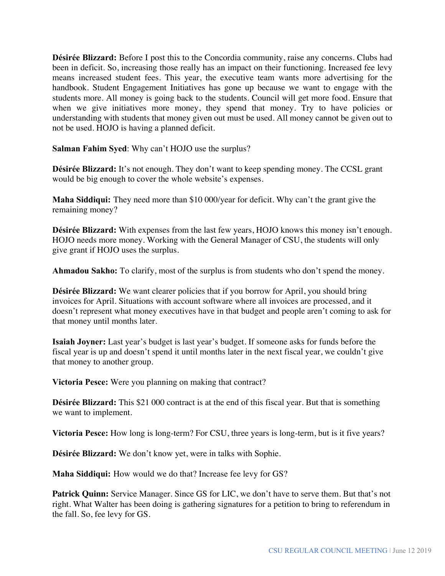**Désirée Blizzard:** Before I post this to the Concordia community, raise any concerns. Clubs had been in deficit. So, increasing those really has an impact on their functioning. Increased fee levy means increased student fees. This year, the executive team wants more advertising for the handbook. Student Engagement Initiatives has gone up because we want to engage with the students more. All money is going back to the students. Council will get more food. Ensure that when we give initiatives more money, they spend that money. Try to have policies or understanding with students that money given out must be used. All money cannot be given out to not be used. HOJO is having a planned deficit.

**Salman Fahim Syed**: Why can't HOJO use the surplus?

**Désirée Blizzard:** It's not enough. They don't want to keep spending money. The CCSL grant would be big enough to cover the whole website's expenses.

**Maha Siddiqui:** They need more than \$10 000/year for deficit. Why can't the grant give the remaining money?

**Désirée Blizzard:** With expenses from the last few years, HOJO knows this money isn't enough. HOJO needs more money. Working with the General Manager of CSU, the students will only give grant if HOJO uses the surplus.

**Ahmadou Sakho:** To clarify, most of the surplus is from students who don't spend the money.

**Désirée Blizzard:** We want clearer policies that if you borrow for April, you should bring invoices for April. Situations with account software where all invoices are processed, and it doesn't represent what money executives have in that budget and people aren't coming to ask for that money until months later.

**Isaiah Joyner:** Last year's budget is last year's budget. If someone asks for funds before the fiscal year is up and doesn't spend it until months later in the next fiscal year, we couldn't give that money to another group.

**Victoria Pesce:** Were you planning on making that contract?

**Désirée Blizzard:** This \$21 000 contract is at the end of this fiscal year. But that is something we want to implement.

**Victoria Pesce:** How long is long-term? For CSU, three years is long-term, but is it five years?

**Désirée Blizzard:** We don't know yet, were in talks with Sophie.

**Maha Siddiqui:** How would we do that? Increase fee levy for GS?

**Patrick Quinn:** Service Manager. Since GS for LIC, we don't have to serve them. But that's not right. What Walter has been doing is gathering signatures for a petition to bring to referendum in the fall. So, fee levy for GS.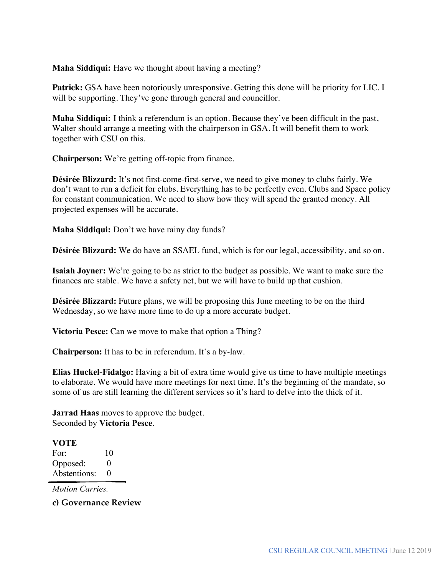**Maha Siddiqui:** Have we thought about having a meeting?

**Patrick:** GSA have been notoriously unresponsive. Getting this done will be priority for LIC. I will be supporting. They've gone through general and councillor.

**Maha Siddiqui:** I think a referendum is an option. Because they've been difficult in the past, Walter should arrange a meeting with the chairperson in GSA. It will benefit them to work together with CSU on this.

**Chairperson:** We're getting off-topic from finance.

**Désirée Blizzard:** It's not first-come-first-serve, we need to give money to clubs fairly. We don't want to run a deficit for clubs. Everything has to be perfectly even. Clubs and Space policy for constant communication. We need to show how they will spend the granted money. All projected expenses will be accurate.

**Maha Siddiqui:** Don't we have rainy day funds?

**Désirée Blizzard:** We do have an SSAEL fund, which is for our legal, accessibility, and so on.

**Isaiah Joyner:** We're going to be as strict to the budget as possible. We want to make sure the finances are stable. We have a safety net, but we will have to build up that cushion.

**Désirée Blizzard:** Future plans, we will be proposing this June meeting to be on the third Wednesday, so we have more time to do up a more accurate budget.

**Victoria Pesce:** Can we move to make that option a Thing?

**Chairperson:** It has to be in referendum. It's a by-law.

**Elias Huckel-Fidalgo:** Having a bit of extra time would give us time to have multiple meetings to elaborate. We would have more meetings for next time. It's the beginning of the mandate, so some of us are still learning the different services so it's hard to delve into the thick of it.

**Jarrad Haas** moves to approve the budget. Seconded by **Victoria Pesce**.

**VOTE** For: 10 Opposed: 0 Abstentions: 0

*Motion Carries.* 

**c) Governance Review**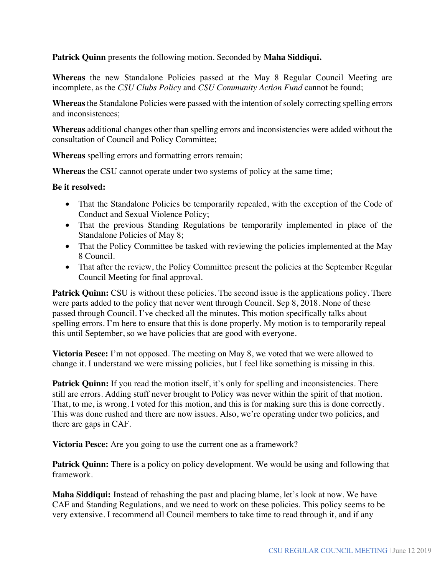**Patrick Quinn** presents the following motion*.* Seconded by **Maha Siddiqui.**

**Whereas** the new Standalone Policies passed at the May 8 Regular Council Meeting are incomplete, as the *CSU Clubs Policy* and *CSU Community Action Fund* cannot be found;

**Whereas** the Standalone Policies were passed with the intention of solely correcting spelling errors and inconsistences;

**Whereas** additional changes other than spelling errors and inconsistencies were added without the consultation of Council and Policy Committee;

**Whereas** spelling errors and formatting errors remain;

**Whereas** the CSU cannot operate under two systems of policy at the same time;

#### **Be it resolved:**

- That the Standalone Policies be temporarily repealed, with the exception of the Code of Conduct and Sexual Violence Policy;
- That the previous Standing Regulations be temporarily implemented in place of the Standalone Policies of May 8;
- That the Policy Committee be tasked with reviewing the policies implemented at the May 8 Council.
- That after the review, the Policy Committee present the policies at the September Regular Council Meeting for final approval.

**Patrick Quinn:** CSU is without these policies. The second issue is the applications policy. There were parts added to the policy that never went through Council. Sep 8, 2018. None of these passed through Council. I've checked all the minutes. This motion specifically talks about spelling errors. I'm here to ensure that this is done properly. My motion is to temporarily repeal this until September, so we have policies that are good with everyone.

**Victoria Pesce:** I'm not opposed. The meeting on May 8, we voted that we were allowed to change it. I understand we were missing policies, but I feel like something is missing in this.

Patrick Quinn: If you read the motion itself, it's only for spelling and inconsistencies. There still are errors. Adding stuff never brought to Policy was never within the spirit of that motion. That, to me, is wrong. I voted for this motion, and this is for making sure this is done correctly. This was done rushed and there are now issues. Also, we're operating under two policies, and there are gaps in CAF.

**Victoria Pesce:** Are you going to use the current one as a framework?

**Patrick Quinn:** There is a policy on policy development. We would be using and following that framework.

**Maha Siddiqui:** Instead of rehashing the past and placing blame, let's look at now. We have CAF and Standing Regulations, and we need to work on these policies. This policy seems to be very extensive. I recommend all Council members to take time to read through it, and if any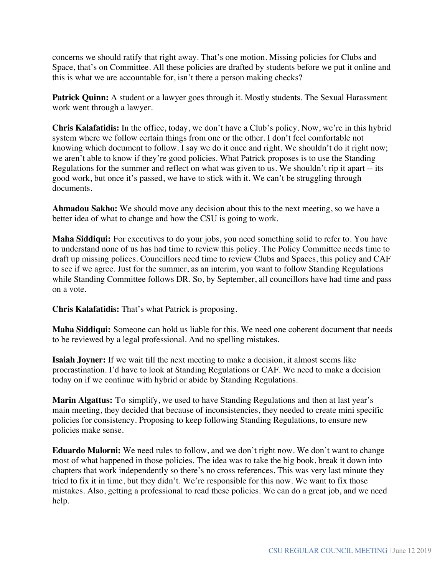concerns we should ratify that right away. That's one motion. Missing policies for Clubs and Space, that's on Committee. All these policies are drafted by students before we put it online and this is what we are accountable for, isn't there a person making checks?

**Patrick Quinn:** A student or a lawyer goes through it. Mostly students. The Sexual Harassment work went through a lawyer.

**Chris Kalafatidis:** In the office, today, we don't have a Club's policy. Now, we're in this hybrid system where we follow certain things from one or the other. I don't feel comfortable not knowing which document to follow. I say we do it once and right. We shouldn't do it right now; we aren't able to know if they're good policies. What Patrick proposes is to use the Standing Regulations for the summer and reflect on what was given to us. We shouldn't rip it apart -- its good work, but once it's passed, we have to stick with it. We can't be struggling through documents.

**Ahmadou Sakho:** We should move any decision about this to the next meeting, so we have a better idea of what to change and how the CSU is going to work.

**Maha Siddiqui:** For executives to do your jobs, you need something solid to refer to. You have to understand none of us has had time to review this policy. The Policy Committee needs time to draft up missing polices. Councillors need time to review Clubs and Spaces, this policy and CAF to see if we agree. Just for the summer, as an interim, you want to follow Standing Regulations while Standing Committee follows DR. So, by September, all councillors have had time and pass on a vote.

**Chris Kalafatidis:** That's what Patrick is proposing.

**Maha Siddiqui:** Someone can hold us liable for this. We need one coherent document that needs to be reviewed by a legal professional. And no spelling mistakes.

**Isaiah Joyner:** If we wait till the next meeting to make a decision, it almost seems like procrastination. I'd have to look at Standing Regulations or CAF. We need to make a decision today on if we continue with hybrid or abide by Standing Regulations.

**Marin Algattus:** To simplify, we used to have Standing Regulations and then at last year's main meeting, they decided that because of inconsistencies, they needed to create mini specific policies for consistency. Proposing to keep following Standing Regulations, to ensure new policies make sense.

**Eduardo Malorni:** We need rules to follow, and we don't right now. We don't want to change most of what happened in those policies. The idea was to take the big book, break it down into chapters that work independently so there's no cross references. This was very last minute they tried to fix it in time, but they didn't. We're responsible for this now. We want to fix those mistakes. Also, getting a professional to read these policies. We can do a great job, and we need help.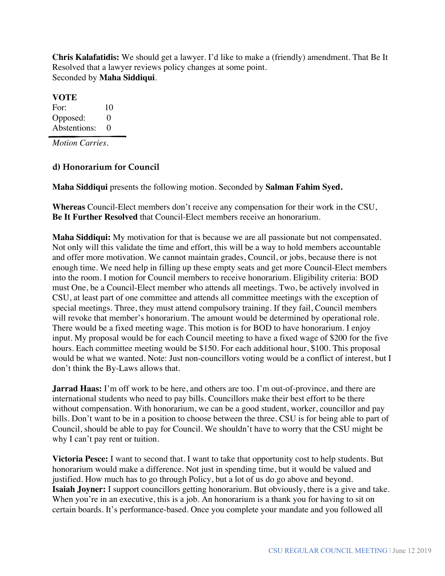**Chris Kalafatidis:** We should get a lawyer. I'd like to make a (friendly) amendment. That Be It Resolved that a lawyer reviews policy changes at some point. Seconded by **Maha Siddiqui**.

#### **VOTE**

For: 10 Opposed: 0 Abstentions: 0

*Motion Carries.* 

#### **d) Honorarium for Council**

**Maha Siddiqui** presents the following motion. Seconded by **Salman Fahim Syed.**

**Whereas** Council-Elect members don't receive any compensation for their work in the CSU, **Be It Further Resolved** that Council-Elect members receive an honorarium.

**Maha Siddiqui:** My motivation for that is because we are all passionate but not compensated. Not only will this validate the time and effort, this will be a way to hold members accountable and offer more motivation. We cannot maintain grades, Council, or jobs, because there is not enough time. We need help in filling up these empty seats and get more Council-Elect members into the room. I motion for Council members to receive honorarium. Eligibility criteria: BOD must One, be a Council-Elect member who attends all meetings. Two, be actively involved in CSU, at least part of one committee and attends all committee meetings with the exception of special meetings. Three, they must attend compulsory training. If they fail, Council members will revoke that member's honorarium. The amount would be determined by operational role. There would be a fixed meeting wage. This motion is for BOD to have honorarium. I enjoy input. My proposal would be for each Council meeting to have a fixed wage of \$200 for the five hours. Each committee meeting would be \$150. For each additional hour, \$100. This proposal would be what we wanted. Note: Just non-councillors voting would be a conflict of interest, but I don't think the By-Laws allows that.

**Jarrad Haas:** I'm off work to be here, and others are too. I'm out-of-province, and there are international students who need to pay bills. Councillors make their best effort to be there without compensation. With honorarium, we can be a good student, worker, councillor and pay bills. Don't want to be in a position to choose between the three. CSU is for being able to part of Council, should be able to pay for Council. We shouldn't have to worry that the CSU might be why I can't pay rent or tuition.

**Victoria Pesce:** I want to second that. I want to take that opportunity cost to help students. But honorarium would make a difference. Not just in spending time, but it would be valued and justified. How much has to go through Policy, but a lot of us do go above and beyond. **Isaiah Joyner:** I support councillors getting honorarium. But obviously, there is a give and take. When you're in an executive, this is a job. An honorarium is a thank you for having to sit on certain boards. It's performance-based. Once you complete your mandate and you followed all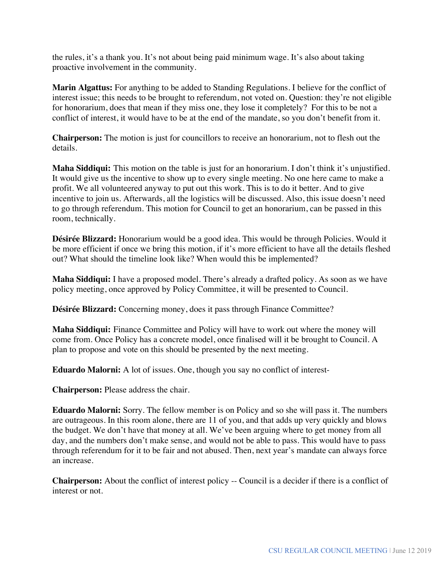the rules, it's a thank you. It's not about being paid minimum wage. It's also about taking proactive involvement in the community.

**Marin Algattus:** For anything to be added to Standing Regulations. I believe for the conflict of interest issue; this needs to be brought to referendum, not voted on. Question: they're not eligible for honorarium, does that mean if they miss one, they lose it completely? For this to be not a conflict of interest, it would have to be at the end of the mandate, so you don't benefit from it.

**Chairperson:** The motion is just for councillors to receive an honorarium, not to flesh out the details.

**Maha Siddiqui:** This motion on the table is just for an honorarium. I don't think it's unjustified. It would give us the incentive to show up to every single meeting. No one here came to make a profit. We all volunteered anyway to put out this work. This is to do it better. And to give incentive to join us. Afterwards, all the logistics will be discussed. Also, this issue doesn't need to go through referendum. This motion for Council to get an honorarium, can be passed in this room, technically.

**Désirée Blizzard:** Honorarium would be a good idea. This would be through Policies. Would it be more efficient if once we bring this motion, if it's more efficient to have all the details fleshed out? What should the timeline look like? When would this be implemented?

**Maha Siddiqui:** I have a proposed model. There's already a drafted policy. As soon as we have policy meeting, once approved by Policy Committee, it will be presented to Council.

**Désirée Blizzard:** Concerning money, does it pass through Finance Committee?

**Maha Siddiqui:** Finance Committee and Policy will have to work out where the money will come from. Once Policy has a concrete model, once finalised will it be brought to Council. A plan to propose and vote on this should be presented by the next meeting.

**Eduardo Malorni:** A lot of issues. One, though you say no conflict of interest-

**Chairperson:** Please address the chair.

**Eduardo Malorni:** Sorry. The fellow member is on Policy and so she will pass it. The numbers are outrageous. In this room alone, there are 11 of you, and that adds up very quickly and blows the budget. We don't have that money at all. We've been arguing where to get money from all day, and the numbers don't make sense, and would not be able to pass. This would have to pass through referendum for it to be fair and not abused. Then, next year's mandate can always force an increase.

**Chairperson:** About the conflict of interest policy -- Council is a decider if there is a conflict of interest or not.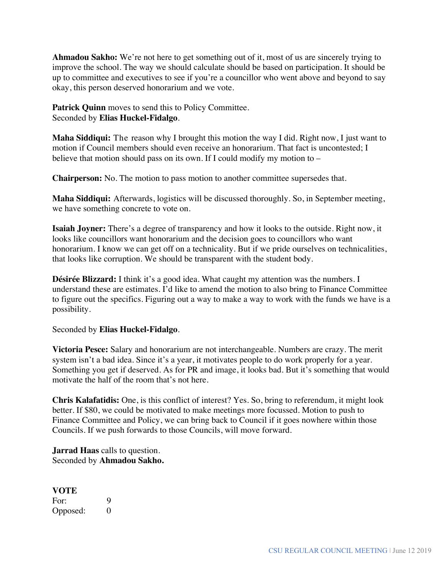**Ahmadou Sakho:** We're not here to get something out of it, most of us are sincerely trying to improve the school. The way we should calculate should be based on participation. It should be up to committee and executives to see if you're a councillor who went above and beyond to say okay, this person deserved honorarium and we vote.

Patrick Quinn moves to send this to Policy Committee. Seconded by **Elias Huckel-Fidalgo**.

**Maha Siddiqui:** The reason why I brought this motion the way I did. Right now, I just want to motion if Council members should even receive an honorarium. That fact is uncontested; I believe that motion should pass on its own. If I could modify my motion to –

**Chairperson:** No. The motion to pass motion to another committee supersedes that.

**Maha Siddiqui:** Afterwards, logistics will be discussed thoroughly. So, in September meeting, we have something concrete to vote on.

**Isaiah Joyner:** There's a degree of transparency and how it looks to the outside. Right now, it looks like councillors want honorarium and the decision goes to councillors who want honorarium. I know we can get off on a technicality. But if we pride ourselves on technicalities, that looks like corruption. We should be transparent with the student body.

**Désirée Blizzard:** I think it's a good idea. What caught my attention was the numbers. I understand these are estimates. I'd like to amend the motion to also bring to Finance Committee to figure out the specifics. Figuring out a way to make a way to work with the funds we have is a possibility.

Seconded by **Elias Huckel-Fidalgo***.*

**Victoria Pesce:** Salary and honorarium are not interchangeable. Numbers are crazy. The merit system isn't a bad idea. Since it's a year, it motivates people to do work properly for a year. Something you get if deserved. As for PR and image, it looks bad. But it's something that would motivate the half of the room that's not here.

**Chris Kalafatidis:** One, is this conflict of interest? Yes. So, bring to referendum, it might look better. If \$80, we could be motivated to make meetings more focussed. Motion to push to Finance Committee and Policy, we can bring back to Council if it goes nowhere within those Councils. If we push forwards to those Councils, will move forward.

**Jarrad Haas** calls to question. Seconded by **Ahmadou Sakho.**

## **VOTE**

For: 9 Opposed: 0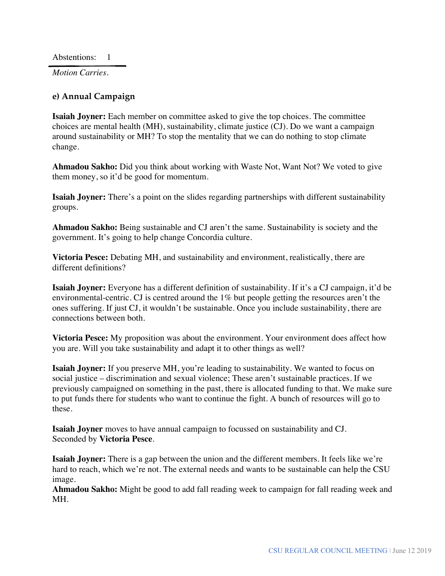Abstentions: 1

*Motion Carries.*

#### **e) Annual Campaign**

**Isaiah Joyner:** Each member on committee asked to give the top choices. The committee choices are mental health (MH), sustainability, climate justice (CJ). Do we want a campaign around sustainability or MH? To stop the mentality that we can do nothing to stop climate change.

**Ahmadou Sakho:** Did you think about working with Waste Not, Want Not? We voted to give them money, so it'd be good for momentum.

**Isaiah Joyner:** There's a point on the slides regarding partnerships with different sustainability groups.

**Ahmadou Sakho:** Being sustainable and CJ aren't the same. Sustainability is society and the government. It's going to help change Concordia culture.

**Victoria Pesce:** Debating MH, and sustainability and environment, realistically, there are different definitions?

**Isaiah Joyner:** Everyone has a different definition of sustainability. If it's a CJ campaign, it'd be environmental-centric. CJ is centred around the 1% but people getting the resources aren't the ones suffering. If just CJ, it wouldn't be sustainable. Once you include sustainability, there are connections between both.

**Victoria Pesce:** My proposition was about the environment. Your environment does affect how you are. Will you take sustainability and adapt it to other things as well?

**Isaiah Joyner:** If you preserve MH, you're leading to sustainability. We wanted to focus on social justice – discrimination and sexual violence; These aren't sustainable practices. If we previously campaigned on something in the past, there is allocated funding to that. We make sure to put funds there for students who want to continue the fight. A bunch of resources will go to these.

**Isaiah Joyner** moves to have annual campaign to focussed on sustainability and CJ. Seconded by **Victoria Pesce**.

**Isaiah Joyner:** There is a gap between the union and the different members. It feels like we're hard to reach, which we're not. The external needs and wants to be sustainable can help the CSU image.

**Ahmadou Sakho:** Might be good to add fall reading week to campaign for fall reading week and MH.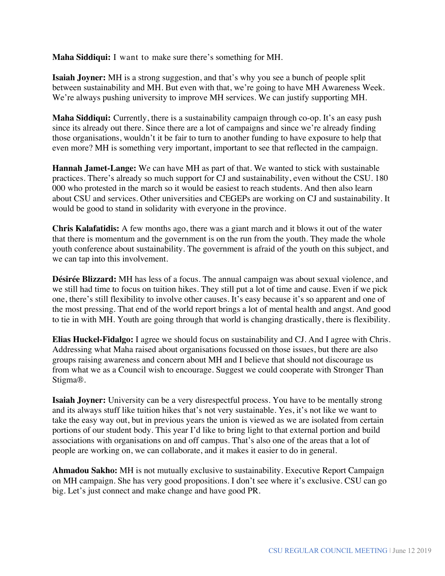**Maha Siddiqui:** I want to make sure there's something for MH.

**Isaiah Joyner:** MH is a strong suggestion, and that's why you see a bunch of people split between sustainability and MH. But even with that, we're going to have MH Awareness Week. We're always pushing university to improve MH services. We can justify supporting MH.

**Maha Siddiqui:** Currently, there is a sustainability campaign through co-op. It's an easy push since its already out there. Since there are a lot of campaigns and since we're already finding those organisations, wouldn't it be fair to turn to another funding to have exposure to help that even more? MH is something very important, important to see that reflected in the campaign.

**Hannah Jamet-Lange:** We can have MH as part of that. We wanted to stick with sustainable practices. There's already so much support for CJ and sustainability, even without the CSU. 180 000 who protested in the march so it would be easiest to reach students. And then also learn about CSU and services. Other universities and CEGEPs are working on CJ and sustainability. It would be good to stand in solidarity with everyone in the province.

**Chris Kalafatidis:** A few months ago, there was a giant march and it blows it out of the water that there is momentum and the government is on the run from the youth. They made the whole youth conference about sustainability. The government is afraid of the youth on this subject, and we can tap into this involvement.

**Désirée Blizzard:** MH has less of a focus. The annual campaign was about sexual violence, and we still had time to focus on tuition hikes. They still put a lot of time and cause. Even if we pick one, there's still flexibility to involve other causes. It's easy because it's so apparent and one of the most pressing. That end of the world report brings a lot of mental health and angst. And good to tie in with MH. Youth are going through that world is changing drastically, there is flexibility.

**Elias Huckel-Fidalgo:** I agree we should focus on sustainability and CJ. And I agree with Chris. Addressing what Maha raised about organisations focussed on those issues, but there are also groups raising awareness and concern about MH and I believe that should not discourage us from what we as a Council wish to encourage. Suggest we could cooperate with Stronger Than Stigma®.

**Isaiah Joyner:** University can be a very disrespectful process. You have to be mentally strong and its always stuff like tuition hikes that's not very sustainable. Yes, it's not like we want to take the easy way out, but in previous years the union is viewed as we are isolated from certain portions of our student body. This year I'd like to bring light to that external portion and build associations with organisations on and off campus. That's also one of the areas that a lot of people are working on, we can collaborate, and it makes it easier to do in general.

**Ahmadou Sakho:** MH is not mutually exclusive to sustainability. Executive Report Campaign on MH campaign. She has very good propositions. I don't see where it's exclusive. CSU can go big. Let's just connect and make change and have good PR.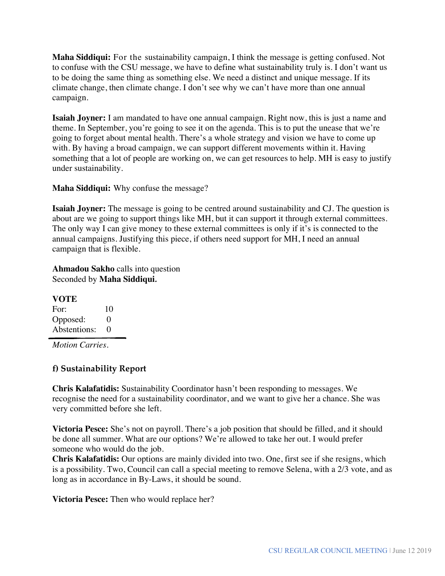**Maha Siddiqui:** For the sustainability campaign, I think the message is getting confused. Not to confuse with the CSU message, we have to define what sustainability truly is. I don't want us to be doing the same thing as something else. We need a distinct and unique message. If its climate change, then climate change. I don't see why we can't have more than one annual campaign.

**Isaiah Joyner:** I am mandated to have one annual campaign. Right now, this is just a name and theme. In September, you're going to see it on the agenda. This is to put the unease that we're going to forget about mental health. There's a whole strategy and vision we have to come up with. By having a broad campaign, we can support different movements within it. Having something that a lot of people are working on, we can get resources to help. MH is easy to justify under sustainability.

**Maha Siddiqui:** Why confuse the message?

**Isaiah Joyner:** The message is going to be centred around sustainability and CJ. The question is about are we going to support things like MH, but it can support it through external committees. The only way I can give money to these external committees is only if it's is connected to the annual campaigns. Justifying this piece, if others need support for MH, I need an annual campaign that is flexible.

**Ahmadou Sakho** calls into question Seconded by **Maha Siddiqui***.*

**VOTE** For: 10 Opposed: 0 Abstentions: 0

*Motion Carries.* 

## **f) Sustainability Report**

**Chris Kalafatidis:** Sustainability Coordinator hasn't been responding to messages. We recognise the need for a sustainability coordinator, and we want to give her a chance. She was very committed before she left.

**Victoria Pesce:** She's not on payroll. There's a job position that should be filled, and it should be done all summer. What are our options? We're allowed to take her out. I would prefer someone who would do the job.

**Chris Kalafatidis:** Our options are mainly divided into two. One, first see if she resigns, which is a possibility. Two, Council can call a special meeting to remove Selena, with a 2/3 vote, and as long as in accordance in By-Laws, it should be sound.

**Victoria Pesce:** Then who would replace her?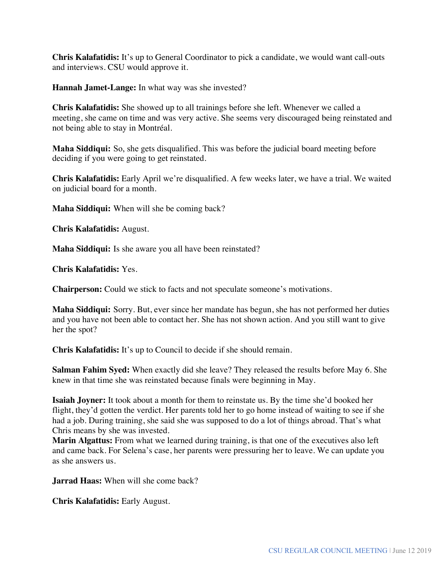**Chris Kalafatidis:** It's up to General Coordinator to pick a candidate, we would want call-outs and interviews. CSU would approve it.

**Hannah Jamet-Lange:** In what way was she invested?

**Chris Kalafatidis:** She showed up to all trainings before she left. Whenever we called a meeting, she came on time and was very active. She seems very discouraged being reinstated and not being able to stay in Montréal.

**Maha Siddiqui:** So, she gets disqualified. This was before the judicial board meeting before deciding if you were going to get reinstated.

**Chris Kalafatidis:** Early April we're disqualified. A few weeks later, we have a trial. We waited on judicial board for a month.

**Maha Siddiqui:** When will she be coming back?

**Chris Kalafatidis:** August.

**Maha Siddiqui:** Is she aware you all have been reinstated?

**Chris Kalafatidis:** Yes.

**Chairperson:** Could we stick to facts and not speculate someone's motivations.

**Maha Siddiqui:** Sorry. But, ever since her mandate has begun, she has not performed her duties and you have not been able to contact her. She has not shown action. And you still want to give her the spot?

**Chris Kalafatidis:** It's up to Council to decide if she should remain.

**Salman Fahim Syed:** When exactly did she leave? They released the results before May 6. She knew in that time she was reinstated because finals were beginning in May.

**Isaiah Joyner:** It took about a month for them to reinstate us. By the time she'd booked her flight, they'd gotten the verdict. Her parents told her to go home instead of waiting to see if she had a job. During training, she said she was supposed to do a lot of things abroad. That's what Chris means by she was invested.

**Marin Algattus:** From what we learned during training, is that one of the executives also left and came back. For Selena's case, her parents were pressuring her to leave. We can update you as she answers us.

**Jarrad Haas:** When will she come back?

**Chris Kalafatidis:** Early August.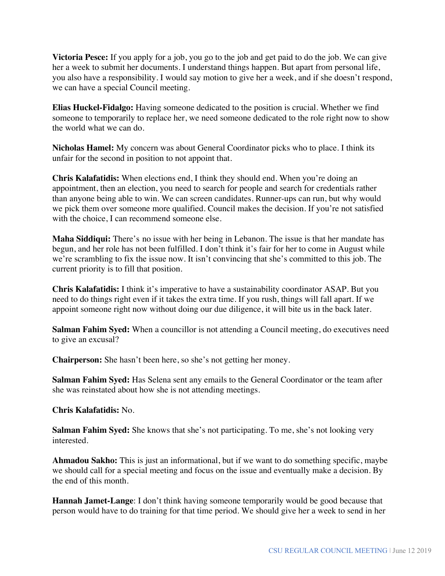**Victoria Pesce:** If you apply for a job, you go to the job and get paid to do the job. We can give her a week to submit her documents. I understand things happen. But apart from personal life, you also have a responsibility. I would say motion to give her a week, and if she doesn't respond, we can have a special Council meeting.

**Elias Huckel-Fidalgo:** Having someone dedicated to the position is crucial. Whether we find someone to temporarily to replace her, we need someone dedicated to the role right now to show the world what we can do.

**Nicholas Hamel:** My concern was about General Coordinator picks who to place. I think its unfair for the second in position to not appoint that.

**Chris Kalafatidis:** When elections end, I think they should end. When you're doing an appointment, then an election, you need to search for people and search for credentials rather than anyone being able to win. We can screen candidates. Runner-ups can run, but why would we pick them over someone more qualified. Council makes the decision. If you're not satisfied with the choice, I can recommend someone else.

**Maha Siddiqui:** There's no issue with her being in Lebanon. The issue is that her mandate has begun, and her role has not been fulfilled. I don't think it's fair for her to come in August while we're scrambling to fix the issue now. It isn't convincing that she's committed to this job. The current priority is to fill that position.

**Chris Kalafatidis:** I think it's imperative to have a sustainability coordinator ASAP. But you need to do things right even if it takes the extra time. If you rush, things will fall apart. If we appoint someone right now without doing our due diligence, it will bite us in the back later.

**Salman Fahim Syed:** When a councillor is not attending a Council meeting, do executives need to give an excusal?

**Chairperson:** She hasn't been here, so she's not getting her money.

**Salman Fahim Syed:** Has Selena sent any emails to the General Coordinator or the team after she was reinstated about how she is not attending meetings.

#### **Chris Kalafatidis:** No.

**Salman Fahim Syed:** She knows that she's not participating. To me, she's not looking very interested.

**Ahmadou Sakho:** This is just an informational, but if we want to do something specific, maybe we should call for a special meeting and focus on the issue and eventually make a decision. By the end of this month.

**Hannah Jamet-Lange**: I don't think having someone temporarily would be good because that person would have to do training for that time period. We should give her a week to send in her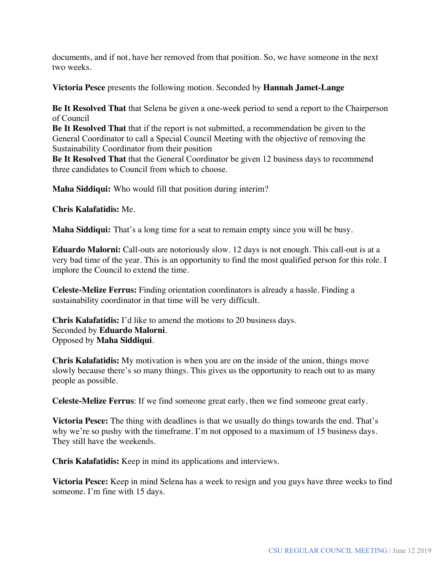documents, and if not, have her removed from that position. So, we have someone in the next two weeks.

**Victoria Pesce** presents the following motion. Seconded by **Hannah Jamet-Lange**

**Be It Resolved That** that Selena be given a one-week period to send a report to the Chairperson of Council

**Be It Resolved That** that if the report is not submitted, a recommendation be given to the General Coordinator to call a Special Council Meeting with the objective of removing the Sustainability Coordinator from their position

**Be It Resolved That** that the General Coordinator be given 12 business days to recommend three candidates to Council from which to choose.

**Maha Siddiqui:** Who would fill that position during interim?

**Chris Kalafatidis:** Me.

**Maha Siddiqui:** That's a long time for a seat to remain empty since you will be busy.

**Eduardo Malorni:** Call-outs are notoriously slow. 12 days is not enough. This call-out is at a very bad time of the year. This is an opportunity to find the most qualified person for this role. I implore the Council to extend the time.

**Celeste-Melize Ferrus:** Finding orientation coordinators is already a hassle. Finding a sustainability coordinator in that time will be very difficult.

**Chris Kalafatidis:** I'd like to amend the motions to 20 business days. Seconded by **Eduardo Malorni**. Opposed by **Maha Siddiqui**.

**Chris Kalafatidis:** My motivation is when you are on the inside of the union, things move slowly because there's so many things. This gives us the opportunity to reach out to as many people as possible.

**Celeste-Melize Ferrus**: If we find someone great early, then we find someone great early.

**Victoria Pesce:** The thing with deadlines is that we usually do things towards the end. That's why we're so pushy with the timeframe. I'm not opposed to a maximum of 15 business days. They still have the weekends.

**Chris Kalafatidis:** Keep in mind its applications and interviews.

**Victoria Pesce:** Keep in mind Selena has a week to resign and you guys have three weeks to find someone. I'm fine with 15 days.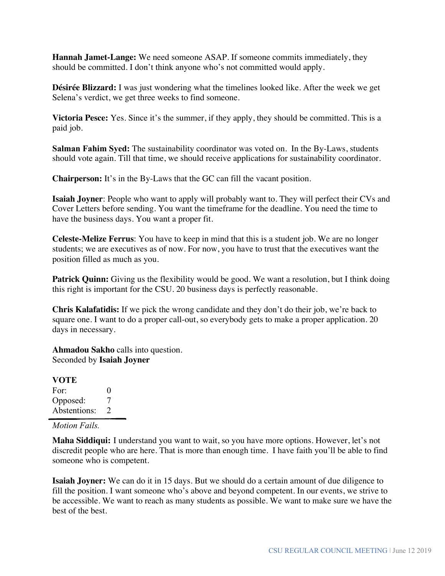**Hannah Jamet-Lange:** We need someone ASAP. If someone commits immediately, they should be committed. I don't think anyone who's not committed would apply.

**Désirée Blizzard:** I was just wondering what the timelines looked like. After the week we get Selena's verdict, we get three weeks to find someone.

**Victoria Pesce:** Yes. Since it's the summer, if they apply, they should be committed. This is a paid job.

**Salman Fahim Syed:** The sustainability coordinator was voted on. In the By-Laws, students should vote again. Till that time, we should receive applications for sustainability coordinator.

**Chairperson:** It's in the By-Laws that the GC can fill the vacant position.

**Isaiah Joyner**: People who want to apply will probably want to. They will perfect their CVs and Cover Letters before sending. You want the timeframe for the deadline. You need the time to have the business days. You want a proper fit.

**Celeste-Melize Ferrus**: You have to keep in mind that this is a student job. We are no longer students; we are executives as of now. For now, you have to trust that the executives want the position filled as much as you.

**Patrick Quinn:** Giving us the flexibility would be good. We want a resolution, but I think doing this right is important for the CSU. 20 business days is perfectly reasonable.

**Chris Kalafatidis:** If we pick the wrong candidate and they don't do their job, we're back to square one. I want to do a proper call-out, so everybody gets to make a proper application. 20 days in necessary.

**Ahmadou Sakho** calls into question. Seconded by **Isaiah Joyner**

**VOTE** For: 0 Opposed: 7 Abstentions: 2

#### *Motion Fails.*

**Maha Siddiqui:** I understand you want to wait, so you have more options. However, let's not discredit people who are here. That is more than enough time. I have faith you'll be able to find someone who is competent.

**Isaiah Joyner:** We can do it in 15 days. But we should do a certain amount of due diligence to fill the position. I want someone who's above and beyond competent. In our events, we strive to be accessible. We want to reach as many students as possible. We want to make sure we have the best of the best.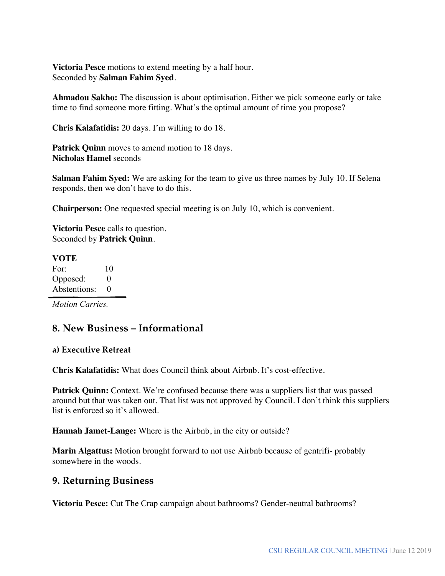**Victoria Pesce** motions to extend meeting by a half hour. Seconded by **Salman Fahim Syed**.

**Ahmadou Sakho:** The discussion is about optimisation. Either we pick someone early or take time to find someone more fitting. What's the optimal amount of time you propose?

**Chris Kalafatidis:** 20 days. I'm willing to do 18.

**Patrick Quinn** moves to amend motion to 18 days. **Nicholas Hamel** seconds

**Salman Fahim Syed:** We are asking for the team to give us three names by July 10. If Selena responds, then we don't have to do this.

**Chairperson:** One requested special meeting is on July 10, which is convenient.

**Victoria Pesce** calls to question. Seconded by **Patrick Quinn**.

#### **VOTE** For: 10 Opposed: 0 Abstentions: 0

*Motion Carries.* 

## **8. New Business – Informational**

#### **a) Executive Retreat**

**Chris Kalafatidis:** What does Council think about Airbnb. It's cost-effective.

**Patrick Quinn:** Context. We're confused because there was a suppliers list that was passed around but that was taken out. That list was not approved by Council. I don't think this suppliers list is enforced so it's allowed.

**Hannah Jamet-Lange:** Where is the Airbnb, in the city or outside?

**Marin Algattus:** Motion brought forward to not use Airbnb because of gentrifi- probably somewhere in the woods.

#### **9. Returning Business**

**Victoria Pesce:** Cut The Crap campaign about bathrooms? Gender-neutral bathrooms?